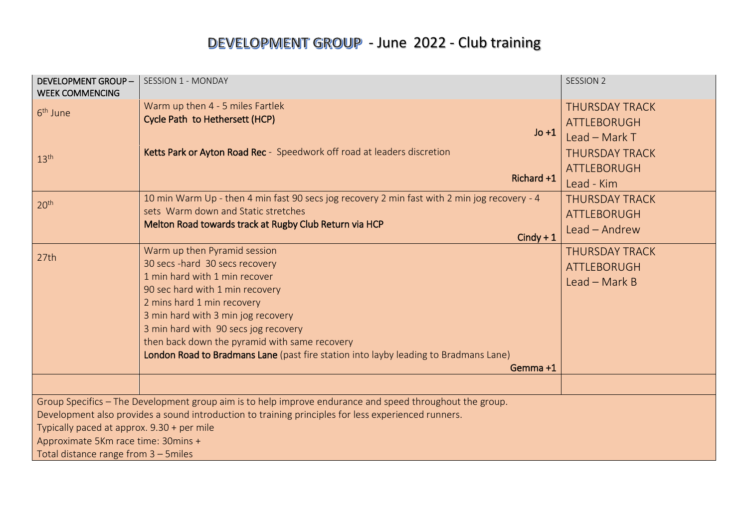# DEVELOPMENT GROUP - June 2022 - Club training

| <b>DEVELOPMENT GROUP-</b><br><b>WEEK COMMENCING</b>                                                 | <b>SESSION 1 - MONDAY</b>                                                                                | <b>SESSION 2</b>      |  |  |
|-----------------------------------------------------------------------------------------------------|----------------------------------------------------------------------------------------------------------|-----------------------|--|--|
| 6 <sup>th</sup> June                                                                                | Warm up then 4 - 5 miles Fartlek                                                                         | <b>THURSDAY TRACK</b> |  |  |
|                                                                                                     | Cycle Path to Hethersett (HCP)                                                                           | <b>ATTLEBORUGH</b>    |  |  |
|                                                                                                     | $Jo + 1$                                                                                                 | Lead - Mark $T$       |  |  |
| 13 <sup>th</sup>                                                                                    | Ketts Park or Ayton Road Rec - Speedwork off road at leaders discretion                                  | <b>THURSDAY TRACK</b> |  |  |
|                                                                                                     |                                                                                                          | <b>ATTLEBORUGH</b>    |  |  |
|                                                                                                     | Richard +1                                                                                               | Lead - Kim            |  |  |
| 20 <sup>th</sup>                                                                                    | 10 min Warm Up - then 4 min fast 90 secs jog recovery 2 min fast with 2 min jog recovery - 4             | <b>THURSDAY TRACK</b> |  |  |
|                                                                                                     | sets Warm down and Static stretches                                                                      | ATTLEBORUGH           |  |  |
|                                                                                                     | Melton Road towards track at Rugby Club Return via HCP                                                   | Lead - Andrew         |  |  |
|                                                                                                     | $Cindy + 1$                                                                                              |                       |  |  |
| 27th                                                                                                | Warm up then Pyramid session                                                                             | <b>THURSDAY TRACK</b> |  |  |
|                                                                                                     | 30 secs - hard 30 secs recovery                                                                          | <b>ATTLEBORUGH</b>    |  |  |
|                                                                                                     | 1 min hard with 1 min recover                                                                            | Lead $-$ Mark B       |  |  |
|                                                                                                     | 90 sec hard with 1 min recovery                                                                          |                       |  |  |
|                                                                                                     | 2 mins hard 1 min recovery                                                                               |                       |  |  |
|                                                                                                     | 3 min hard with 3 min jog recovery                                                                       |                       |  |  |
|                                                                                                     | 3 min hard with 90 secs jog recovery                                                                     |                       |  |  |
|                                                                                                     | then back down the pyramid with same recovery                                                            |                       |  |  |
|                                                                                                     | London Road to Bradmans Lane (past fire station into layby leading to Bradmans Lane)                     |                       |  |  |
|                                                                                                     | Gemma +1                                                                                                 |                       |  |  |
|                                                                                                     |                                                                                                          |                       |  |  |
|                                                                                                     | Group Specifics - The Development group aim is to help improve endurance and speed throughout the group. |                       |  |  |
| Development also provides a sound introduction to training principles for less experienced runners. |                                                                                                          |                       |  |  |
| Typically paced at approx. 9.30 + per mile                                                          |                                                                                                          |                       |  |  |
| Approximate 5Km race time: 30mins +                                                                 |                                                                                                          |                       |  |  |
| Total distance range from 3 - 5miles                                                                |                                                                                                          |                       |  |  |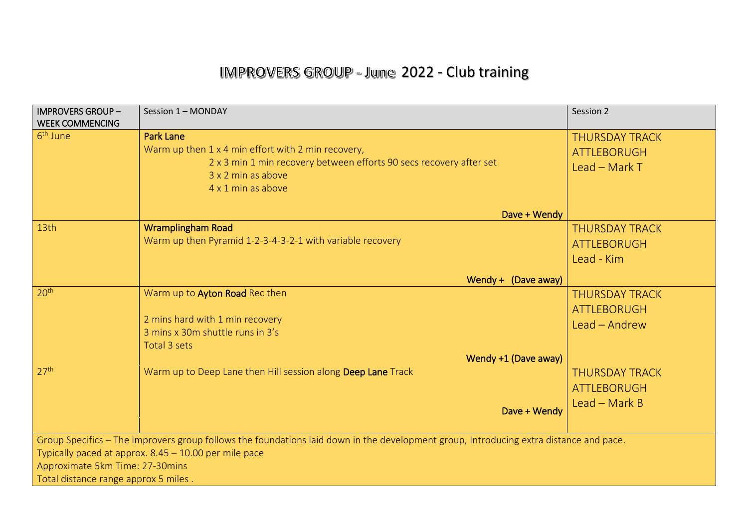# IMPROVERS GROUP - June 2022 - Club training

| <b>IMPROVERS GROUP-</b><br><b>WEEK COMMENCING</b>                                                                                      | Session 1 - MONDAY                                                  | Session 2             |  |  |
|----------------------------------------------------------------------------------------------------------------------------------------|---------------------------------------------------------------------|-----------------------|--|--|
| 6 <sup>th</sup> June                                                                                                                   | <b>Park Lane</b>                                                    | <b>THURSDAY TRACK</b> |  |  |
|                                                                                                                                        | Warm up then 1 x 4 min effort with 2 min recovery,                  | <b>ATTLEBORUGH</b>    |  |  |
|                                                                                                                                        | 2 x 3 min 1 min recovery between efforts 90 secs recovery after set | Lead $-$ Mark T       |  |  |
|                                                                                                                                        | 3 x 2 min as above                                                  |                       |  |  |
|                                                                                                                                        | 4 x 1 min as above                                                  |                       |  |  |
|                                                                                                                                        | Dave + Wendy                                                        |                       |  |  |
| 13th                                                                                                                                   | <b>Wramplingham Road</b>                                            | <b>THURSDAY TRACK</b> |  |  |
|                                                                                                                                        | Warm up then Pyramid 1-2-3-4-3-2-1 with variable recovery           | <b>ATTLEBORUGH</b>    |  |  |
|                                                                                                                                        |                                                                     | Lead - Kim            |  |  |
|                                                                                                                                        | Wendy + (Dave away)                                                 |                       |  |  |
| 20 <sup>th</sup>                                                                                                                       | Warm up to Ayton Road Rec then                                      | <b>THURSDAY TRACK</b> |  |  |
|                                                                                                                                        |                                                                     | <b>ATTLEBORUGH</b>    |  |  |
|                                                                                                                                        | 2 mins hard with 1 min recovery                                     | Lead - Andrew         |  |  |
|                                                                                                                                        | 3 mins x 30m shuttle runs in 3's                                    |                       |  |  |
|                                                                                                                                        | Total 3 sets                                                        |                       |  |  |
|                                                                                                                                        | Wendy +1 (Dave away)                                                |                       |  |  |
| 27 <sup>th</sup>                                                                                                                       | Warm up to Deep Lane then Hill session along Deep Lane Track        | <b>THURSDAY TRACK</b> |  |  |
|                                                                                                                                        |                                                                     | <b>ATTLEBORUGH</b>    |  |  |
|                                                                                                                                        |                                                                     | Lead - Mark B         |  |  |
|                                                                                                                                        | Dave + Wendy                                                        |                       |  |  |
|                                                                                                                                        |                                                                     |                       |  |  |
| Group Specifics - The Improvers group follows the foundations laid down in the development group, Introducing extra distance and pace. |                                                                     |                       |  |  |
| Typically paced at approx. 8.45 - 10.00 per mile pace                                                                                  |                                                                     |                       |  |  |
| Approximate 5km Time: 27-30mins                                                                                                        |                                                                     |                       |  |  |
| Total distance range approx 5 miles.                                                                                                   |                                                                     |                       |  |  |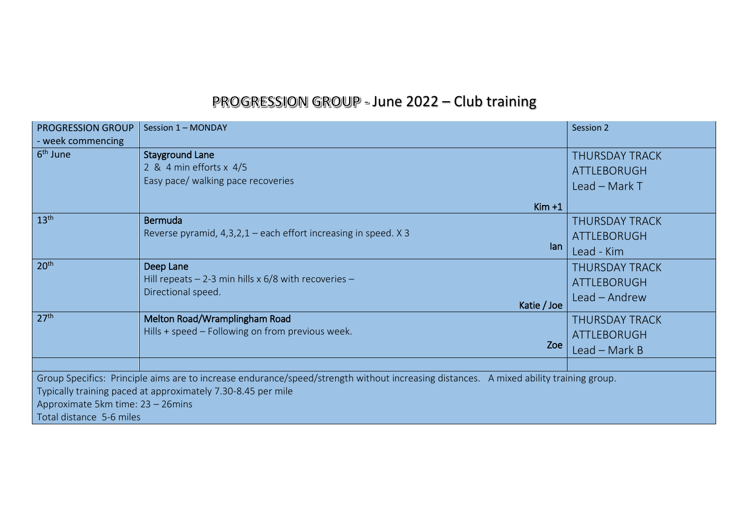# PROGRESSION GROUP - June 2022 - Club training

| <b>PROGRESSION GROUP</b>                                                                                                               | Session 1 - MONDAY                                              | Session 2             |  |  |
|----------------------------------------------------------------------------------------------------------------------------------------|-----------------------------------------------------------------|-----------------------|--|--|
| - week commencing                                                                                                                      |                                                                 |                       |  |  |
| 6 <sup>th</sup> June                                                                                                                   | <b>Stayground Lane</b>                                          | <b>THURSDAY TRACK</b> |  |  |
|                                                                                                                                        | 2 & 4 min efforts x 4/5                                         | <b>ATTLEBORUGH</b>    |  |  |
|                                                                                                                                        | Easy pace/ walking pace recoveries                              | Lead - Mark T         |  |  |
|                                                                                                                                        | $Kim +1$                                                        |                       |  |  |
| 13 <sup>th</sup>                                                                                                                       | <b>Bermuda</b>                                                  | <b>THURSDAY TRACK</b> |  |  |
|                                                                                                                                        | Reverse pyramid, 4,3,2,1 - each effort increasing in speed. X 3 | <b>ATTLEBORUGH</b>    |  |  |
|                                                                                                                                        | lan                                                             | Lead - Kim            |  |  |
| 20 <sup>th</sup>                                                                                                                       | Deep Lane                                                       | <b>THURSDAY TRACK</b> |  |  |
|                                                                                                                                        | Hill repeats $-$ 2-3 min hills x 6/8 with recoveries $-$        | <b>ATTLEBORUGH</b>    |  |  |
|                                                                                                                                        | Directional speed.<br>Katie / Joe                               | Lead - Andrew         |  |  |
| 27 <sup>th</sup>                                                                                                                       | Melton Road/Wramplingham Road                                   | <b>THURSDAY TRACK</b> |  |  |
|                                                                                                                                        | Hills + speed – Following on from previous week.                | ATTLEBORUGH           |  |  |
|                                                                                                                                        | Zoe                                                             | Lead - Mark B         |  |  |
|                                                                                                                                        |                                                                 |                       |  |  |
| Group Specifics: Principle aims are to increase endurance/speed/strength without increasing distances. A mixed ability training group. |                                                                 |                       |  |  |
| Typically training paced at approximately 7.30-8.45 per mile                                                                           |                                                                 |                       |  |  |
| Approximate 5km time: 23 - 26mins                                                                                                      |                                                                 |                       |  |  |
| Total distance 5-6 miles                                                                                                               |                                                                 |                       |  |  |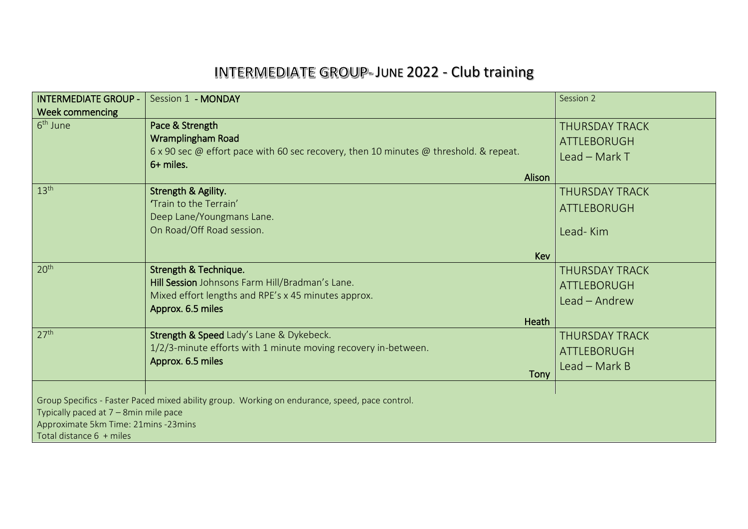# INTERMEDIATE GROUP-JUNE 2022 - Club training

| <b>INTERMEDIATE GROUP -</b>                                                                                                                                                                                 | Session 1 - MONDAY                                                                                                                                                 | Session 2                                                      |  |
|-------------------------------------------------------------------------------------------------------------------------------------------------------------------------------------------------------------|--------------------------------------------------------------------------------------------------------------------------------------------------------------------|----------------------------------------------------------------|--|
| <b>Week commencing</b><br>6 <sup>th</sup> June                                                                                                                                                              | Pace & Strength<br>Wramplingham Road<br>6 x 90 sec $\omega$ effort pace with 60 sec recovery, then 10 minutes $\omega$ threshold. & repeat.<br>6+ miles.<br>Alison | <b>THURSDAY TRACK</b><br><b>ATTLEBORUGH</b><br>Lead $-$ Mark T |  |
| 13 <sup>th</sup>                                                                                                                                                                                            | <b>Strength &amp; Agility.</b><br>'Train to the Terrain'<br>Deep Lane/Youngmans Lane.<br>On Road/Off Road session.<br>Kev                                          | <b>THURSDAY TRACK</b><br><b>ATTLEBORUGH</b><br>Lead-Kim        |  |
| 20 <sup>th</sup>                                                                                                                                                                                            | Strength & Technique.<br>Hill Session Johnsons Farm Hill/Bradman's Lane.<br>Mixed effort lengths and RPE's x 45 minutes approx.<br>Approx. 6.5 miles<br>Heath      | <b>THURSDAY TRACK</b><br><b>ATTLEBORUGH</b><br>Lead - Andrew   |  |
| 27 <sup>th</sup>                                                                                                                                                                                            | Strength & Speed Lady's Lane & Dykebeck.<br>1/2/3-minute efforts with 1 minute moving recovery in-between.<br>Approx. 6.5 miles<br>Tony                            | <b>THURSDAY TRACK</b><br><b>ATTLEBORUGH</b><br>$Leaf - Mark B$ |  |
| Group Specifics - Faster Paced mixed ability group. Working on endurance, speed, pace control.<br>Typically paced at 7 - 8min mile pace<br>Approximate 5km Time: 21mins -23mins<br>Total distance 6 + miles |                                                                                                                                                                    |                                                                |  |